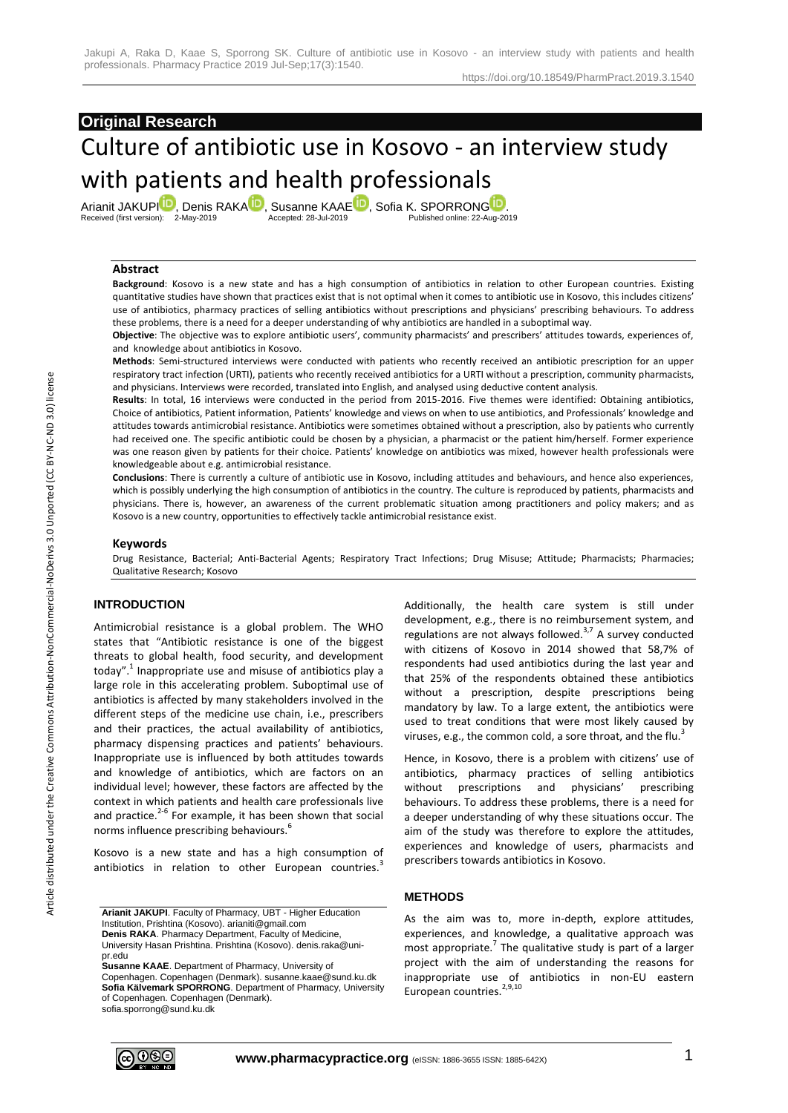# **Original Research**

# Culture of antibiotic use in Kosovo - an interview study with patients and health professionals

Arianit JAKU[PI](http://orcid.org/0000-0002-7719-9690)<sup>D</sup>, Denis R[A](http://orcid.org/0000-0002-3220-7298)KA<sup>D</sup>, Susanne KAA[E](http://orcid.org/0000-0002-8187-365X)<sup>D</sup>, Sofia K[.](http://orcid.org/0000-0001-5848-8625) SPORRONG<sup>D</sup>.<br>Received (first version): 2-May-2019<br>Accepted: 28-Jul-2019<br>Published online: 22-Aug-2019 Received (first version): 2-May-2019

## **Abstract**

**Background**: Kosovo is a new state and has a high consumption of antibiotics in relation to other European countries. Existing quantitative studies have shown that practices exist that is not optimal when it comes to antibiotic use in Kosovo, this includes citizens' use of antibiotics, pharmacy practices of selling antibiotics without prescriptions and physicians' prescribing behaviours. To address these problems, there is a need for a deeper understanding of why antibiotics are handled in a suboptimal way.

**Objective**: The objective was to explore antibiotic users', community pharmacists' and prescribers' attitudes towards, experiences of, and knowledge about antibiotics in Kosovo.

**Methods**: Semi-structured interviews were conducted with patients who recently received an antibiotic prescription for an upper respiratory tract infection (URTI), patients who recently received antibiotics for a URTI without a prescription, community pharmacists, and physicians. Interviews were recorded, translated into English, and analysed using deductive content analysis.

**Results**: In total, 16 interviews were conducted in the period from 2015-2016. Five themes were identified: Obtaining antibiotics, Choice of antibiotics, Patient information, Patients' knowledge and views on when to use antibiotics, and Professionals' knowledge and attitudes towards antimicrobial resistance. Antibiotics were sometimes obtained without a prescription, also by patients who currently had received one. The specific antibiotic could be chosen by a physician, a pharmacist or the patient him/herself. Former experience was one reason given by patients for their choice. Patients' knowledge on antibiotics was mixed, however health professionals were knowledgeable about e.g. antimicrobial resistance.

**Conclusions**: There is currently a culture of antibiotic use in Kosovo, including attitudes and behaviours, and hence also experiences, which is possibly underlying the high consumption of antibiotics in the country. The culture is reproduced by patients, pharmacists and physicians. There is, however, an awareness of the current problematic situation among practitioners and policy makers; and as Kosovo is a new country, opportunities to effectively tackle antimicrobial resistance exist.

#### **Keywords**

Drug Resistance, Bacterial; Anti-Bacterial Agents; Respiratory Tract Infections; Drug Misuse; Attitude; Pharmacists; Pharmacies; Qualitative Research; Kosovo

#### **INTRODUCTION**

Antimicrobial resistance is a global problem. The WHO states that "Antibiotic resistance is one of the biggest threats to global health, food security, and development today".<sup>1</sup> Inappropriate use and misuse of antibiotics play a large role in this accelerating problem. Suboptimal use of antibiotics is affected by many stakeholders involved in the different steps of the medicine use chain, i.e., prescribers and their practices, the actual availability of antibiotics, pharmacy dispensing practices and patients' behaviours. Inappropriate use is influenced by both attitudes towards and knowledge of antibiotics, which are factors on an individual level; however, these factors are affected by the context in which patients and health care professionals live and practice.<sup>2-6</sup> For example, it has been shown that social norms influence prescribing behaviours.<sup>6</sup>

Kosovo is a new state and has a high consumption of antibiotics in relation to other European countries.<sup>3</sup>

**Arianit JAKUPI**. Faculty of Pharmacy, UBT - Higher Education Institution, Prishtina (Kosovo). arianiti@gmail.com **Denis RAKA**. Pharmacy Department, Faculty of Medicine,

University Hasan Prishtina. Prishtina (Kosovo). denis.raka@unipr.edu **Susanne KAAE**. Department of Pharmacy, University of

Copenhagen. Copenhagen (Denmark). susanne.kaae@sund.ku.dk **Sofia Kälvemark SPORRONG**. Department of Pharmacy, University of Copenhagen. Copenhagen (Denmark). sofia.sporrong@sund.ku.dk

Additionally, the health care system is still under development, e.g., there is no reimbursement system, and regulations are not always followed. $3,7$  A survey conducted with citizens of Kosovo in 2014 showed that 58,7% of respondents had used antibiotics during the last year and that 25% of the respondents obtained these antibiotics without a prescription, despite prescriptions being mandatory by law. To a large extent, the antibiotics were used to treat conditions that were most likely caused by viruses, e.g., the common cold, a sore throat, and the flu. $3$ 

Hence, in Kosovo, there is a problem with citizens' use of antibiotics, pharmacy practices of selling antibiotics without prescriptions and physicians' prescribing behaviours. To address these problems, there is a need for a deeper understanding of why these situations occur. The aim of the study was therefore to explore the attitudes, experiences and knowledge of users, pharmacists and prescribers towards antibiotics in Kosovo.

#### **METHODS**

As the aim was to, more in-depth, explore attitudes, experiences, and knowledge, a qualitative approach was most appropriate.<sup>7</sup> The qualitative study is part of a larger project with the aim of understanding the reasons for inappropriate use of antibiotics in non-EU eastern European countries.<sup>2,9,10</sup>



 $(0)$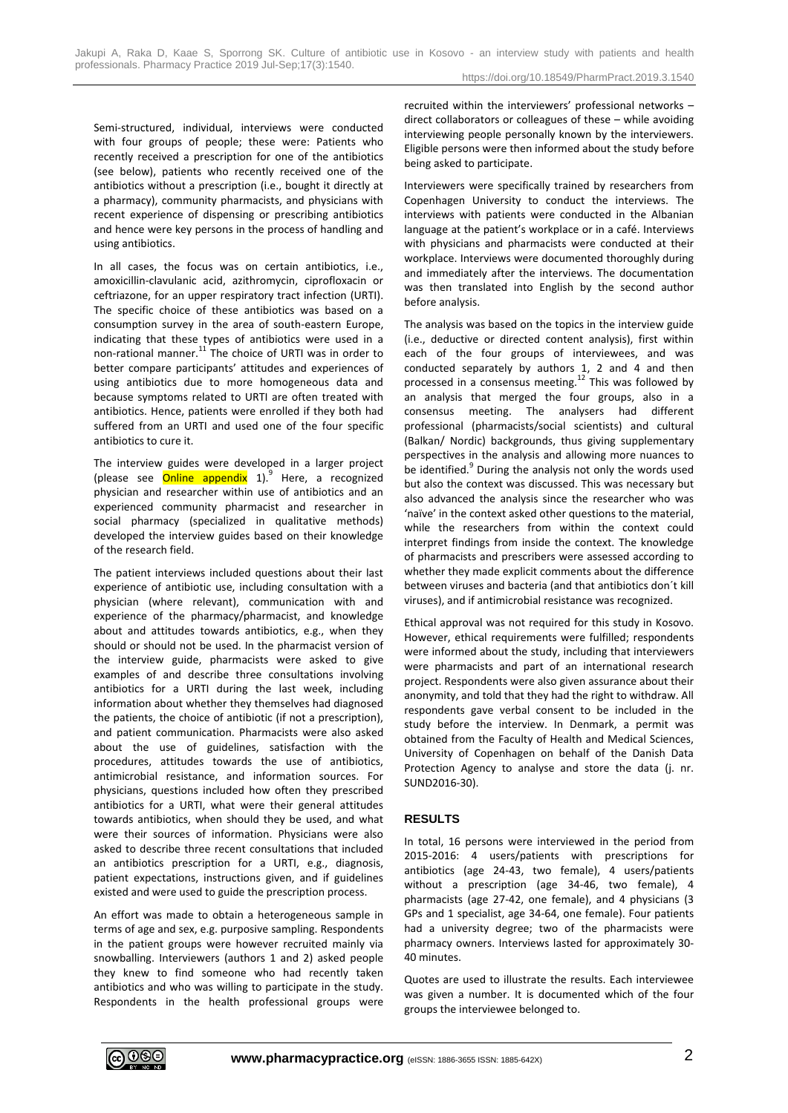Semi-structured, individual, interviews were conducted with four groups of people; these were: Patients who recently received a prescription for one of the antibiotics (see below), patients who recently received one of the antibiotics without a prescription (i.e., bought it directly at a pharmacy), community pharmacists, and physicians with recent experience of dispensing or prescribing antibiotics and hence were key persons in the process of handling and using antibiotics.

In all cases, the focus was on certain antibiotics, i.e., amoxicillin-clavulanic acid, azithromycin, ciprofloxacin or ceftriazone, for an upper respiratory tract infection (URTI). The specific choice of these antibiotics was based on a consumption survey in the area of south-eastern Europe, indicating that these types of antibiotics were used in a non-rational manner. $^{11}$  The choice of URTI was in order to better compare participants' attitudes and experiences of using antibiotics due to more homogeneous data and because symptoms related to URTI are often treated with antibiotics. Hence, patients were enrolled if they both had suffered from an URTI and used one of the four specific antibiotics to cure it.

The interview guides were developed in a larger project (please see **Online appendix** 1).<sup>9</sup> Here, a recognized physician and researcher within use of antibiotics and an experienced community pharmacist and researcher in social pharmacy (specialized in qualitative methods) developed the interview guides based on their knowledge of the research field.

The patient interviews included questions about their last experience of antibiotic use, including consultation with a physician (where relevant), communication with and experience of the pharmacy/pharmacist, and knowledge about and attitudes towards antibiotics, e.g., when they should or should not be used. In the pharmacist version of the interview guide, pharmacists were asked to give examples of and describe three consultations involving antibiotics for a URTI during the last week, including information about whether they themselves had diagnosed the patients, the choice of antibiotic (if not a prescription), and patient communication. Pharmacists were also asked about the use of guidelines, satisfaction with the procedures, attitudes towards the use of antibiotics, antimicrobial resistance, and information sources. For physicians, questions included how often they prescribed antibiotics for a URTI, what were their general attitudes towards antibiotics, when should they be used, and what were their sources of information. Physicians were also asked to describe three recent consultations that included an antibiotics prescription for a URTI, e.g., diagnosis, patient expectations, instructions given, and if guidelines existed and were used to guide the prescription process.

An effort was made to obtain a heterogeneous sample in terms of age and sex, e.g. purposive sampling. Respondents in the patient groups were however recruited mainly via snowballing. Interviewers (authors 1 and 2) asked people they knew to find someone who had recently taken antibiotics and who was willing to participate in the study. Respondents in the health professional groups were recruited within the interviewers' professional networks – direct collaborators or colleagues of these – while avoiding interviewing people personally known by the interviewers. Eligible persons were then informed about the study before being asked to participate.

Interviewers were specifically trained by researchers from Copenhagen University to conduct the interviews. The interviews with patients were conducted in the Albanian language at the patient's workplace or in a café. Interviews with physicians and pharmacists were conducted at their workplace. Interviews were documented thoroughly during and immediately after the interviews. The documentation was then translated into English by the second author before analysis.

The analysis was based on the topics in the interview guide (i.e., deductive or directed content analysis), first within each of the four groups of interviewees, and was conducted separately by authors 1, 2 and 4 and then processed in a consensus meeting.<sup>12</sup> This was followed by an analysis that merged the four groups, also in a consensus meeting. The analysers had different professional (pharmacists/social scientists) and cultural (Balkan/ Nordic) backgrounds, thus giving supplementary perspectives in the analysis and allowing more nuances to be identified.<sup>9</sup> During the analysis not only the words used but also the context was discussed. This was necessary but also advanced the analysis since the researcher who was 'naïve' in the context asked other questions to the material, while the researchers from within the context could interpret findings from inside the context. The knowledge of pharmacists and prescribers were assessed according to whether they made explicit comments about the difference between viruses and bacteria (and that antibiotics don´t kill viruses), and if antimicrobial resistance was recognized.

Ethical approval was not required for this study in Kosovo. However, ethical requirements were fulfilled; respondents were informed about the study, including that interviewers were pharmacists and part of an international research project. Respondents were also given assurance about their anonymity, and told that they had the right to withdraw. All respondents gave verbal consent to be included in the study before the interview. In Denmark, a permit was obtained from the Faculty of Health and Medical Sciences, University of Copenhagen on behalf of the Danish Data Protection Agency to analyse and store the data (j. nr. SUND2016-30).

## **RESULTS**

In total, 16 persons were interviewed in the period from 2015-2016: 4 users/patients with prescriptions for antibiotics (age 24-43, two female), 4 users/patients without a prescription (age 34-46, two female), 4 pharmacists (age 27-42, one female), and 4 physicians (3 GPs and 1 specialist, age 34-64, one female). Four patients had a university degree; two of the pharmacists were pharmacy owners. Interviews lasted for approximately 30- 40 minutes.

Quotes are used to illustrate the results. Each interviewee was given a number. It is documented which of the four groups the interviewee belonged to.

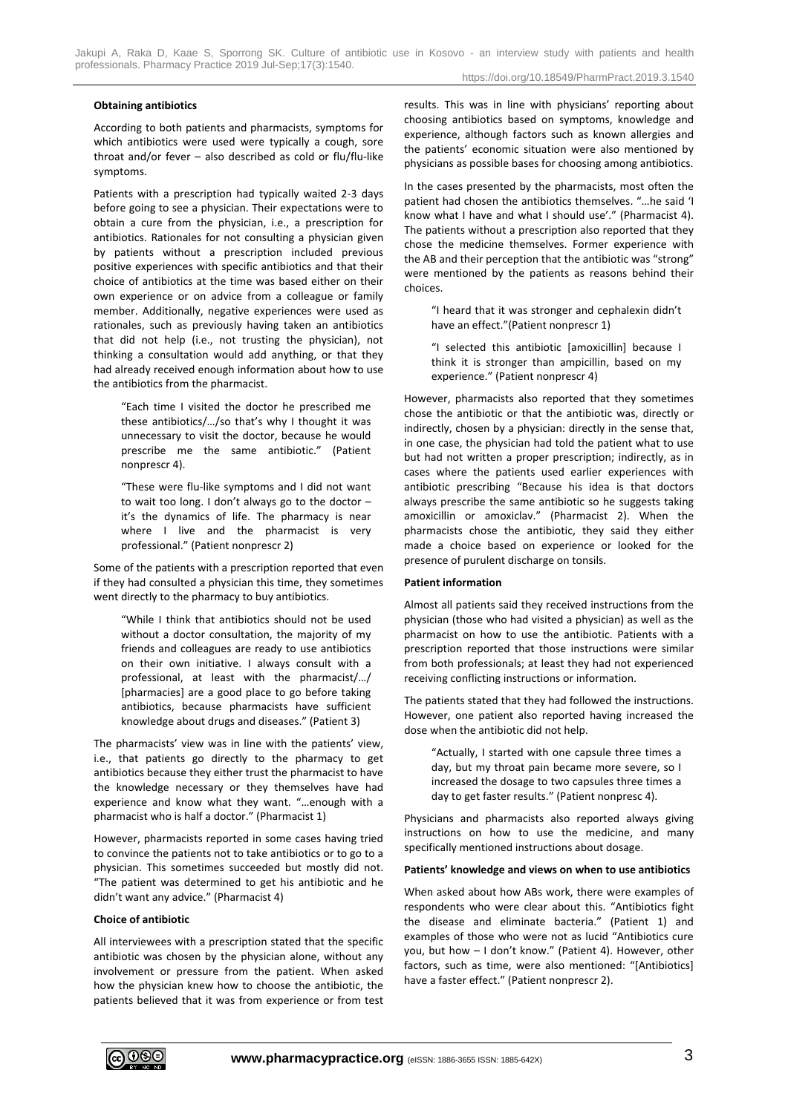Jakupi A, Raka D, Kaae S, Sporrong SK. Culture of antibiotic use in Kosovo - an interview study with patients and health professionals. Pharmacy Practice 2019 Jul-Sep;17(3):1540.

#### **Obtaining antibiotics**

According to both patients and pharmacists, symptoms for which antibiotics were used were typically a cough, sore throat and/or fever – also described as cold or flu/flu-like symptoms.

Patients with a prescription had typically waited 2-3 days before going to see a physician. Their expectations were to obtain a cure from the physician, i.e., a prescription for antibiotics. Rationales for not consulting a physician given by patients without a prescription included previous positive experiences with specific antibiotics and that their choice of antibiotics at the time was based either on their own experience or on advice from a colleague or family member. Additionally, negative experiences were used as rationales, such as previously having taken an antibiotics that did not help (i.e., not trusting the physician), not thinking a consultation would add anything, or that they had already received enough information about how to use the antibiotics from the pharmacist.

"Each time I visited the doctor he prescribed me these antibiotics/…/so that's why I thought it was unnecessary to visit the doctor, because he would prescribe me the same antibiotic." (Patient nonprescr 4).

"These were flu-like symptoms and I did not want to wait too long. I don't always go to the doctor – it's the dynamics of life. The pharmacy is near where I live and the pharmacist is very professional." (Patient nonprescr 2)

Some of the patients with a prescription reported that even if they had consulted a physician this time, they sometimes went directly to the pharmacy to buy antibiotics.

"While I think that antibiotics should not be used without a doctor consultation, the majority of my friends and colleagues are ready to use antibiotics on their own initiative. I always consult with a professional, at least with the pharmacist/…/ [pharmacies] are a good place to go before taking antibiotics, because pharmacists have sufficient knowledge about drugs and diseases." (Patient 3)

The pharmacists' view was in line with the patients' view, i.e., that patients go directly to the pharmacy to get antibiotics because they either trust the pharmacist to have the knowledge necessary or they themselves have had experience and know what they want. "…enough with a pharmacist who is half a doctor." (Pharmacist 1)

However, pharmacists reported in some cases having tried to convince the patients not to take antibiotics or to go to a physician. This sometimes succeeded but mostly did not. "The patient was determined to get his antibiotic and he didn't want any advice." (Pharmacist 4)

#### **Choice of antibiotic**

All interviewees with a prescription stated that the specific antibiotic was chosen by the physician alone, without any involvement or pressure from the patient. When asked how the physician knew how to choose the antibiotic, the patients believed that it was from experience or from test results. This was in line with physicians' reporting about choosing antibiotics based on symptoms, knowledge and experience, although factors such as known allergies and the patients' economic situation were also mentioned by physicians as possible bases for choosing among antibiotics.

In the cases presented by the pharmacists, most often the patient had chosen the antibiotics themselves. "…he said 'I know what I have and what I should use'." (Pharmacist 4). The patients without a prescription also reported that they chose the medicine themselves. Former experience with the AB and their perception that the antibiotic was "strong" were mentioned by the patients as reasons behind their choices.

"I heard that it was stronger and cephalexin didn't have an effect."(Patient nonprescr 1)

"I selected this antibiotic [amoxicillin] because I think it is stronger than ampicillin, based on my experience." (Patient nonprescr 4)

However, pharmacists also reported that they sometimes chose the antibiotic or that the antibiotic was, directly or indirectly, chosen by a physician: directly in the sense that, in one case, the physician had told the patient what to use but had not written a proper prescription; indirectly, as in cases where the patients used earlier experiences with antibiotic prescribing "Because his idea is that doctors always prescribe the same antibiotic so he suggests taking amoxicillin or amoxiclav." (Pharmacist 2). When the pharmacists chose the antibiotic, they said they either made a choice based on experience or looked for the presence of purulent discharge on tonsils.

#### **Patient information**

Almost all patients said they received instructions from the physician (those who had visited a physician) as well as the pharmacist on how to use the antibiotic. Patients with a prescription reported that those instructions were similar from both professionals; at least they had not experienced receiving conflicting instructions or information.

The patients stated that they had followed the instructions. However, one patient also reported having increased the dose when the antibiotic did not help.

"Actually, I started with one capsule three times a day, but my throat pain became more severe, so I increased the dosage to two capsules three times a day to get faster results." (Patient nonpresc 4).

Physicians and pharmacists also reported always giving instructions on how to use the medicine, and many specifically mentioned instructions about dosage.

#### **Patients' knowledge and views on when to use antibiotics**

When asked about how ABs work, there were examples of respondents who were clear about this. "Antibiotics fight the disease and eliminate bacteria." (Patient 1) and examples of those who were not as lucid "Antibiotics cure you, but how – I don't know." (Patient 4). However, other factors, such as time, were also mentioned: "[Antibiotics] have a faster effect." (Patient nonprescr 2).

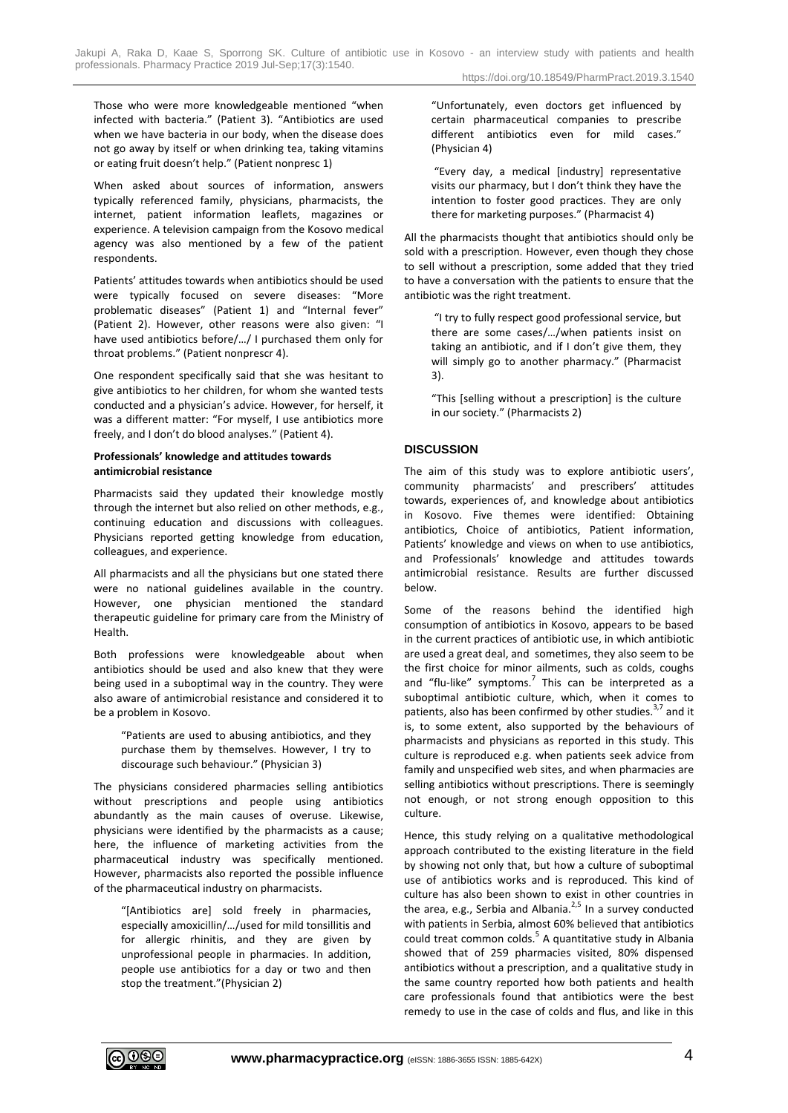Those who were more knowledgeable mentioned "when infected with bacteria." (Patient 3). "Antibiotics are used when we have bacteria in our body, when the disease does not go away by itself or when drinking tea, taking vitamins or eating fruit doesn't help." (Patient nonpresc 1)

When asked about sources of information, answers typically referenced family, physicians, pharmacists, the internet, patient information leaflets, magazines or experience. A television campaign from the Kosovo medical agency was also mentioned by a few of the patient respondents.

Patients' attitudes towards when antibiotics should be used were typically focused on severe diseases: "More problematic diseases" (Patient 1) and "Internal fever" (Patient 2). However, other reasons were also given: "I have used antibiotics before/…/ I purchased them only for throat problems." (Patient nonprescr 4).

One respondent specifically said that she was hesitant to give antibiotics to her children, for whom she wanted tests conducted and a physician's advice. However, for herself, it was a different matter: "For myself, I use antibiotics more freely, and I don't do blood analyses." (Patient 4).

#### **Professionals' knowledge and attitudes towards antimicrobial resistance**

Pharmacists said they updated their knowledge mostly through the internet but also relied on other methods, e.g., continuing education and discussions with colleagues. Physicians reported getting knowledge from education, colleagues, and experience.

All pharmacists and all the physicians but one stated there were no national guidelines available in the country. However, one physician mentioned the standard therapeutic guideline for primary care from the Ministry of Health.

Both professions were knowledgeable about when antibiotics should be used and also knew that they were being used in a suboptimal way in the country. They were also aware of antimicrobial resistance and considered it to be a problem in Kosovo.

"Patients are used to abusing antibiotics, and they purchase them by themselves. However, I try to discourage such behaviour." (Physician 3)

The physicians considered pharmacies selling antibiotics without prescriptions and people using antibiotics abundantly as the main causes of overuse. Likewise, physicians were identified by the pharmacists as a cause; here, the influence of marketing activities from the pharmaceutical industry was specifically mentioned. However, pharmacists also reported the possible influence of the pharmaceutical industry on pharmacists.

"[Antibiotics are] sold freely in pharmacies, especially amoxicillin/…/used for mild tonsillitis and for allergic rhinitis, and they are given by unprofessional people in pharmacies. In addition, people use antibiotics for a day or two and then stop the treatment."(Physician 2)

"Unfortunately, even doctors get influenced by certain pharmaceutical companies to prescribe different antibiotics even for mild cases." (Physician 4)

"Every day, a medical [industry] representative visits our pharmacy, but I don't think they have the intention to foster good practices. They are only there for marketing purposes." (Pharmacist 4)

All the pharmacists thought that antibiotics should only be sold with a prescription. However, even though they chose to sell without a prescription, some added that they tried to have a conversation with the patients to ensure that the antibiotic was the right treatment.

"I try to fully respect good professional service, but there are some cases/…/when patients insist on taking an antibiotic, and if I don't give them, they will simply go to another pharmacy." (Pharmacist 3).

"This [selling without a prescription] is the culture in our society." (Pharmacists 2)

## **DISCUSSION**

The aim of this study was to explore antibiotic users', community pharmacists' and prescribers' attitudes towards, experiences of, and knowledge about antibiotics in Kosovo. Five themes were identified: Obtaining antibiotics, Choice of antibiotics, Patient information, Patients' knowledge and views on when to use antibiotics, and Professionals' knowledge and attitudes towards antimicrobial resistance. Results are further discussed below.

Some of the reasons behind the identified high consumption of antibiotics in Kosovo, appears to be based in the current practices of antibiotic use, in which antibiotic are used a great deal, and sometimes, they also seem to be the first choice for minor ailments, such as colds, coughs and "flu-like" symptoms.<sup>7</sup> This can be interpreted as a suboptimal antibiotic culture, which, when it comes to patients, also has been confirmed by other studies. $3,7$  and it is, to some extent, also supported by the behaviours of pharmacists and physicians as reported in this study. This culture is reproduced e.g. when patients seek advice from family and unspecified web sites, and when pharmacies are selling antibiotics without prescriptions. There is seemingly not enough, or not strong enough opposition to this culture.

Hence, this study relying on a qualitative methodological approach contributed to the existing literature in the field by showing not only that, but how a culture of suboptimal use of antibiotics works and is reproduced. This kind of culture has also been shown to exist in other countries in the area, e.g., Serbia and Albania. $^{2,5}$  In a survey conducted with patients in Serbia, almost 60% believed that antibiotics could treat common colds.<sup>5</sup> A quantitative study in Albania showed that of 259 pharmacies visited, 80% dispensed antibiotics without a prescription, and a qualitative study in the same country reported how both patients and health care professionals found that antibiotics were the best remedy to use in the case of colds and flus, and like in this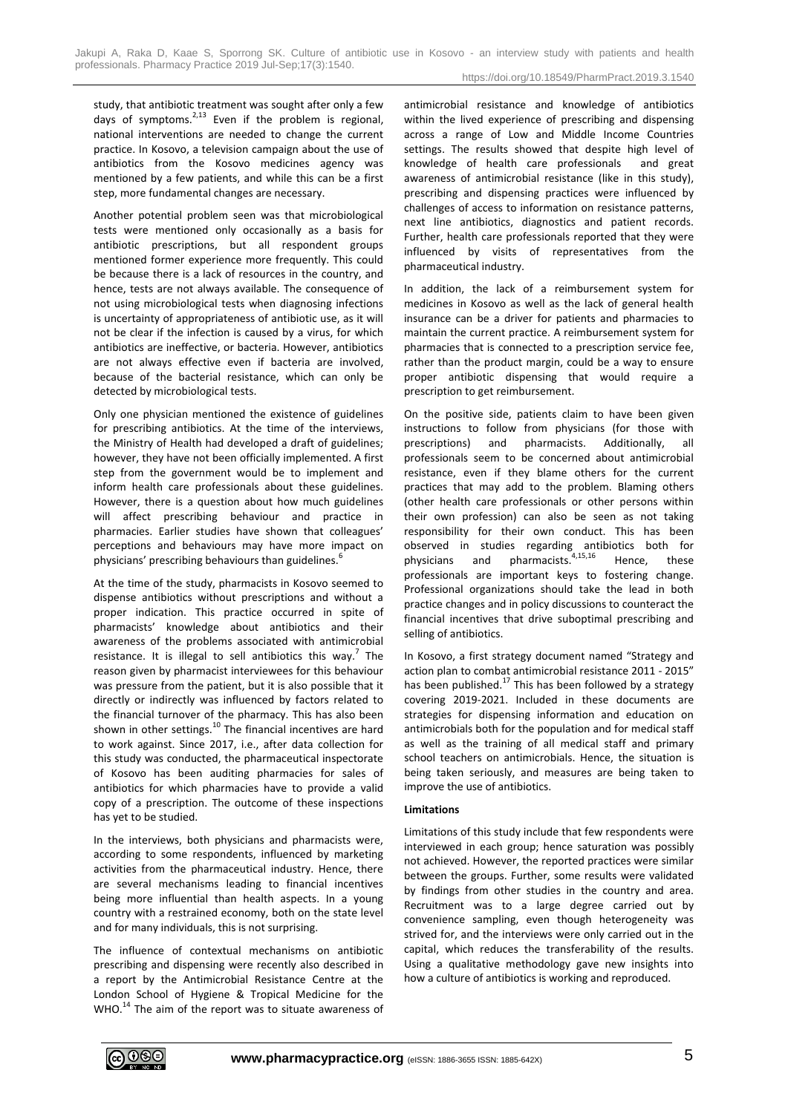study, that antibiotic treatment was sought after only a few days of symptoms. $2,13$  Even if the problem is regional, national interventions are needed to change the current practice. In Kosovo, a television campaign about the use of antibiotics from the Kosovo medicines agency was mentioned by a few patients, and while this can be a first step, more fundamental changes are necessary.

Another potential problem seen was that microbiological tests were mentioned only occasionally as a basis for antibiotic prescriptions, but all respondent groups mentioned former experience more frequently. This could be because there is a lack of resources in the country, and hence, tests are not always available. The consequence of not using microbiological tests when diagnosing infections is uncertainty of appropriateness of antibiotic use, as it will not be clear if the infection is caused by a virus, for which antibiotics are ineffective, or bacteria. However, antibiotics are not always effective even if bacteria are involved, because of the bacterial resistance, which can only be detected by microbiological tests.

Only one physician mentioned the existence of guidelines for prescribing antibiotics. At the time of the interviews, the Ministry of Health had developed a draft of guidelines; however, they have not been officially implemented. A first step from the government would be to implement and inform health care professionals about these guidelines. However, there is a question about how much guidelines will affect prescribing behaviour and practice in pharmacies. Earlier studies have shown that colleagues' perceptions and behaviours may have more impact on physicians' prescribing behaviours than guidelines.<sup>6</sup>

At the time of the study, pharmacists in Kosovo seemed to dispense antibiotics without prescriptions and without a proper indication. This practice occurred in spite of pharmacists' knowledge about antibiotics and their awareness of the problems associated with antimicrobial resistance. It is illegal to sell antibiotics this way.<sup>7</sup> The reason given by pharmacist interviewees for this behaviour was pressure from the patient, but it is also possible that it directly or indirectly was influenced by factors related to the financial turnover of the pharmacy. This has also been shown in other settings. $^{10}$  The financial incentives are hard to work against. Since 2017, i.e., after data collection for this study was conducted, the pharmaceutical inspectorate of Kosovo has been auditing pharmacies for sales of antibiotics for which pharmacies have to provide a valid copy of a prescription. The outcome of these inspections has yet to be studied.

In the interviews, both physicians and pharmacists were, according to some respondents, influenced by marketing activities from the pharmaceutical industry. Hence, there are several mechanisms leading to financial incentives being more influential than health aspects. In a young country with a restrained economy, both on the state level and for many individuals, this is not surprising.

The influence of contextual mechanisms on antibiotic prescribing and dispensing were recently also described in a report by the Antimicrobial Resistance Centre at the London School of Hygiene & Tropical Medicine for the WHO.<sup>14</sup> The aim of the report was to situate awareness of antimicrobial resistance and knowledge of antibiotics within the lived experience of prescribing and dispensing across a range of Low and Middle Income Countries settings. The results showed that despite high level of knowledge of health care professionals and great awareness of antimicrobial resistance (like in this study), prescribing and dispensing practices were influenced by challenges of access to information on resistance patterns, next line antibiotics, diagnostics and patient records. Further, health care professionals reported that they were influenced by visits of representatives from the pharmaceutical industry.

In addition, the lack of a reimbursement system for medicines in Kosovo as well as the lack of general health insurance can be a driver for patients and pharmacies to maintain the current practice. A reimbursement system for pharmacies that is connected to a prescription service fee, rather than the product margin, could be a way to ensure proper antibiotic dispensing that would require a prescription to get reimbursement.

On the positive side, patients claim to have been given instructions to follow from physicians (for those with prescriptions) and pharmacists. Additionally, all professionals seem to be concerned about antimicrobial resistance, even if they blame others for the current practices that may add to the problem. Blaming others (other health care professionals or other persons within their own profession) can also be seen as not taking responsibility for their own conduct. This has been observed in studies regarding antibiotics both for physicians and pharmacists.<sup>4,15,16</sup> Hence, these professionals are important keys to fostering change. Professional organizations should take the lead in both practice changes and in policy discussions to counteract the financial incentives that drive suboptimal prescribing and selling of antibiotics.

In Kosovo, a first strategy document named "Strategy and action plan to combat antimicrobial resistance 2011 - 2015" has been published.<sup>17</sup> This has been followed by a strategy covering 2019-2021. Included in these documents are strategies for dispensing information and education on antimicrobials both for the population and for medical staff as well as the training of all medical staff and primary school teachers on antimicrobials. Hence, the situation is being taken seriously, and measures are being taken to improve the use of antibiotics.

## **Limitations**

Limitations of this study include that few respondents were interviewed in each group; hence saturation was possibly not achieved. However, the reported practices were similar between the groups. Further, some results were validated by findings from other studies in the country and area. Recruitment was to a large degree carried out by convenience sampling, even though heterogeneity was strived for, and the interviews were only carried out in the capital, which reduces the transferability of the results. Using a qualitative methodology gave new insights into how a culture of antibiotics is working and reproduced.